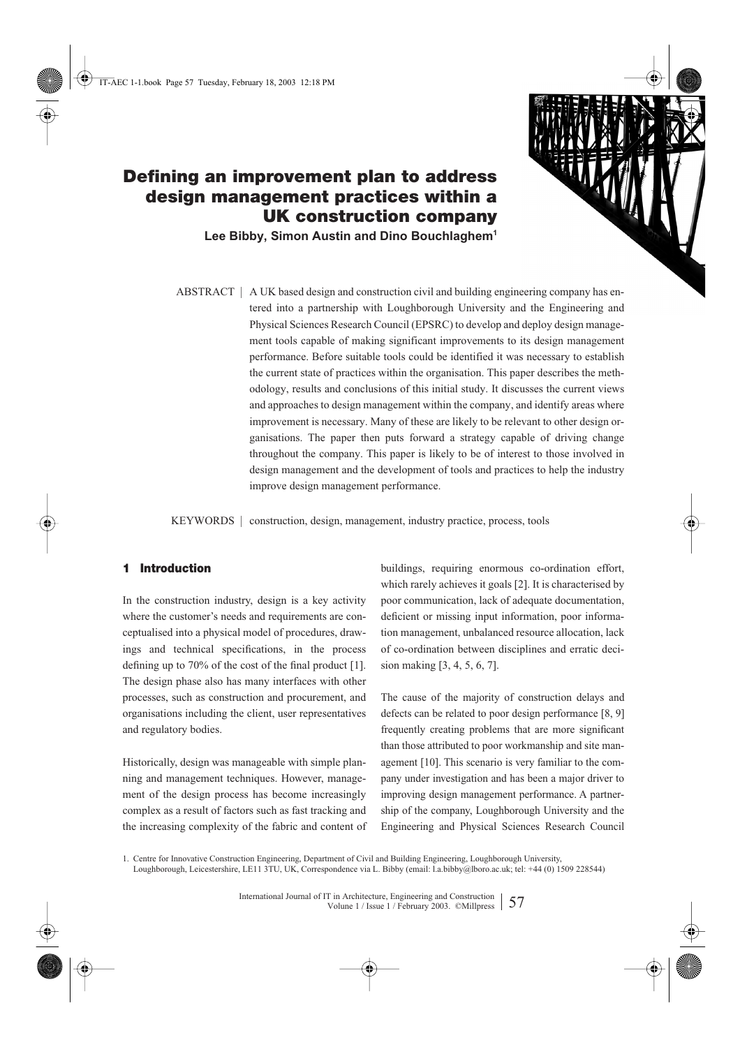

# **Defining an improvement plan to address design management practices within a UK construction company**

**Lee Bibby, Simon Austin and Dino Bouchlaghem1**

ABSTRACT | A UK based design and construction civil and building engineering company has entered into a partnership with Loughborough University and the Engineering and Physical Sciences Research Council (EPSRC) to develop and deploy design management tools capable of making significant improvements to its design management performance. Before suitable tools could be identified it was necessary to establish the current state of practices within the organisation. This paper describes the methodology, results and conclusions of this initial study. It discusses the current views and approaches to design management within the company, and identify areas where improvement is necessary. Many of these are likely to be relevant to other design organisations. The paper then puts forward a strategy capable of driving change throughout the company. This paper is likely to be of interest to those involved in design management and the development of tools and practices to help the industry improve design management performance.

KEYWORDS | construction, design, management, industry practice, process, tools

# **1 Introduction**

In the construction industry, design is a key activity where the customer's needs and requirements are conceptualised into a physical model of procedures, drawings and technical specifications, in the process defining up to 70% of the cost of the final product [1]. The design phase also has many interfaces with other processes, such as construction and procurement, and organisations including the client, user representatives and regulatory bodies.

Historically, design was manageable with simple planning and management techniques. However, management of the design process has become increasingly complex as a result of factors such as fast tracking and the increasing complexity of the fabric and content of buildings, requiring enormous co-ordination effort, which rarely achieves it goals [2]. It is characterised by poor communication, lack of adequate documentation, deficient or missing input information, poor information management, unbalanced resource allocation, lack of co-ordination between disciplines and erratic decision making [3, 4, 5, 6, 7].

The cause of the majority of construction delays and defects can be related to poor design performance [8, 9] frequently creating problems that are more significant than those attributed to poor workmanship and site management [10]. This scenario is very familiar to the company under investigation and has been a major driver to improving design management performance. A partnership of the company, Loughborough University and the Engineering and Physical Sciences Research Council

<sup>1.</sup> Centre for Innovative Construction Engineering, Department of Civil and Building Engineering, Loughborough University, Loughborough, Leicestershire, LE11 3TU, UK, Correspondence via L. Bibby (email: l.a.bibby@lboro.ac.uk; tel: +44 (0) 1509 228544)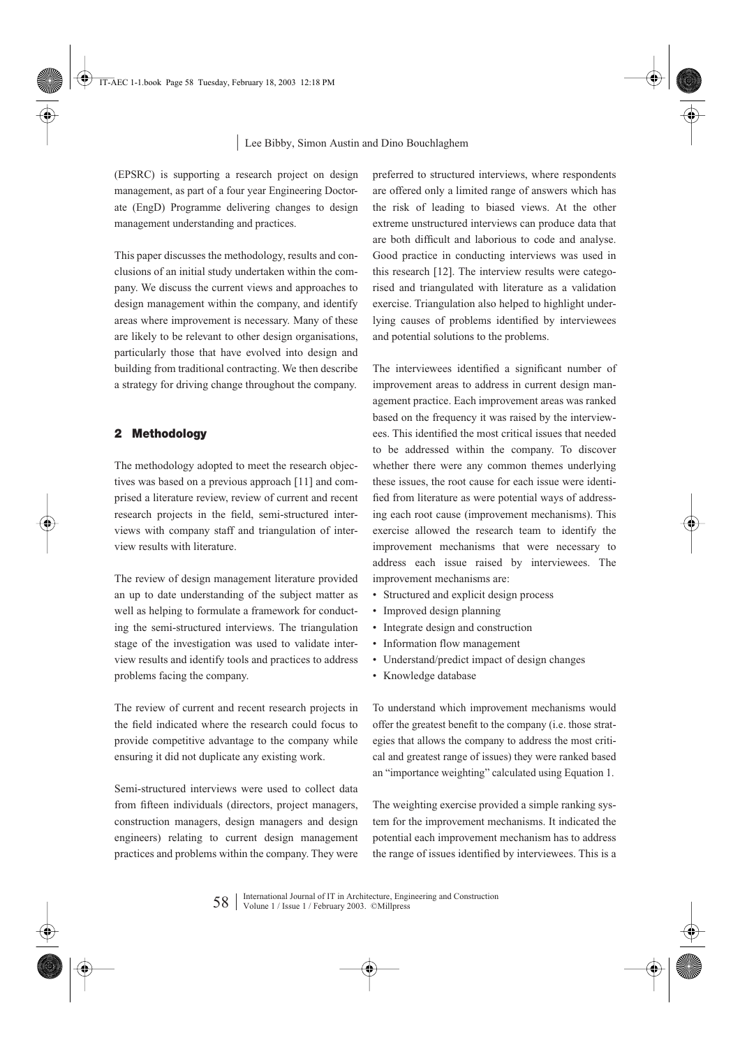(EPSRC) is supporting a research project on design management, as part of a four year Engineering Doctorate (EngD) Programme delivering changes to design management understanding and practices.

This paper discusses the methodology, results and conclusions of an initial study undertaken within the company. We discuss the current views and approaches to design management within the company, and identify areas where improvement is necessary. Many of these are likely to be relevant to other design organisations, particularly those that have evolved into design and building from traditional contracting. We then describe a strategy for driving change throughout the company.

### **2 Methodology**

The methodology adopted to meet the research objectives was based on a previous approach [11] and comprised a literature review, review of current and recent research projects in the field, semi-structured interviews with company staff and triangulation of interview results with literature.

The review of design management literature provided an up to date understanding of the subject matter as well as helping to formulate a framework for conducting the semi-structured interviews. The triangulation stage of the investigation was used to validate interview results and identify tools and practices to address problems facing the company.

The review of current and recent research projects in the field indicated where the research could focus to provide competitive advantage to the company while ensuring it did not duplicate any existing work.

Semi-structured interviews were used to collect data from fifteen individuals (directors, project managers, construction managers, design managers and design engineers) relating to current design management practices and problems within the company. They were

preferred to structured interviews, where respondents are offered only a limited range of answers which has the risk of leading to biased views. At the other extreme unstructured interviews can produce data that are both difficult and laborious to code and analyse. Good practice in conducting interviews was used in this research [12]. The interview results were categorised and triangulated with literature as a validation exercise. Triangulation also helped to highlight underlying causes of problems identified by interviewees and potential solutions to the problems.

The interviewees identified a significant number of improvement areas to address in current design management practice. Each improvement areas was ranked based on the frequency it was raised by the interviewees. This identified the most critical issues that needed to be addressed within the company. To discover whether there were any common themes underlying these issues, the root cause for each issue were identified from literature as were potential ways of addressing each root cause (improvement mechanisms). This exercise allowed the research team to identify the improvement mechanisms that were necessary to address each issue raised by interviewees. The improvement mechanisms are:

- Structured and explicit design process
- Improved design planning
- Integrate design and construction
- Information flow management
- Understand/predict impact of design changes
- Knowledge database

To understand which improvement mechanisms would offer the greatest benefit to the company (i.e. those strategies that allows the company to address the most critical and greatest range of issues) they were ranked based an "importance weighting" calculated using Equation 1.

The weighting exercise provided a simple ranking system for the improvement mechanisms. It indicated the potential each improvement mechanism has to address the range of issues identified by interviewees. This is a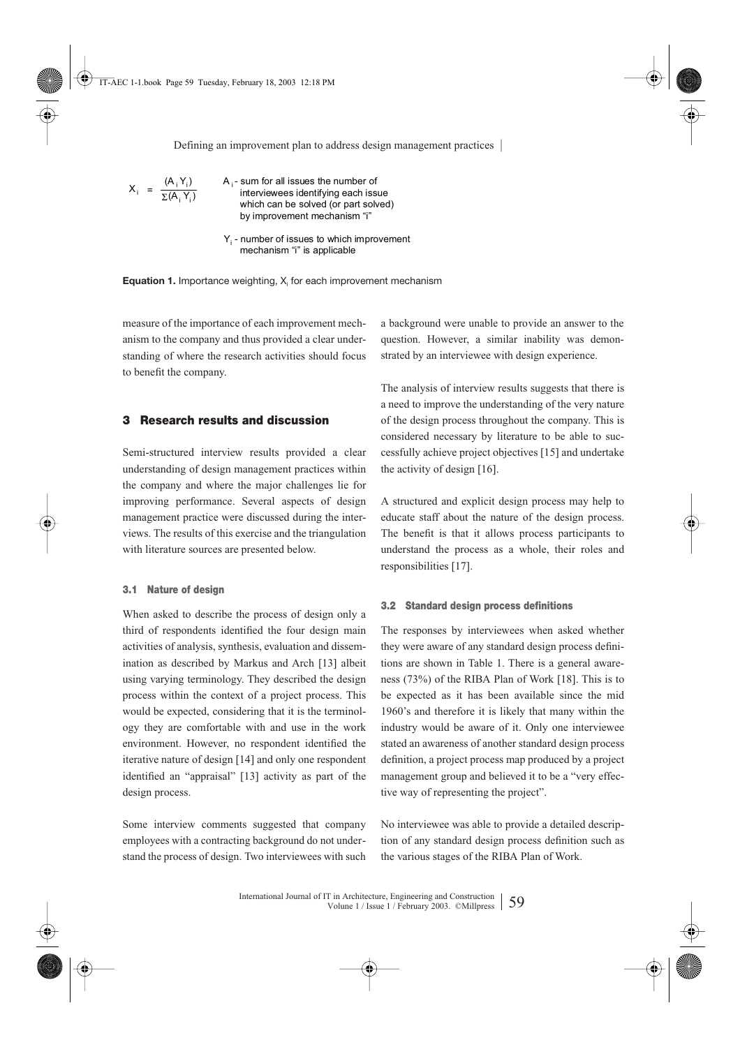$$
X_i = \frac{(A_i Y_i)}{\Sigma(A_i Y_i)}
$$

A <sub>i</sub> - sum for all issues the number of interviewees identifying each issue which can be solved (or part solved) by improvement mechanism "i"

 $Y_{i}$  - number of issues to which improvement mechanism "i" is applicable

**Equation 1.** Importance weighting, X<sub>i</sub> for each improvement mechanism

measure of the importance of each improvement mechanism to the company and thus provided a clear understanding of where the research activities should focus to benefit the company.

### **3 Research results and discussion**

Semi-structured interview results provided a clear understanding of design management practices within the company and where the major challenges lie for improving performance. Several aspects of design management practice were discussed during the interviews. The results of this exercise and the triangulation with literature sources are presented below.

### **3.1 Nature of design**

When asked to describe the process of design only a third of respondents identified the four design main activities of analysis, synthesis, evaluation and dissemination as described by Markus and Arch [13] albeit using varying terminology. They described the design process within the context of a project process. This would be expected, considering that it is the terminology they are comfortable with and use in the work environment. However, no respondent identified the iterative nature of design [14] and only one respondent identified an "appraisal" [13] activity as part of the design process.

Some interview comments suggested that company employees with a contracting background do not understand the process of design. Two interviewees with such

a background were unable to provide an answer to the question. However, a similar inability was demonstrated by an interviewee with design experience.

The analysis of interview results suggests that there is a need to improve the understanding of the very nature of the design process throughout the company. This is considered necessary by literature to be able to successfully achieve project objectives [15] and undertake the activity of design [16].

A structured and explicit design process may help to educate staff about the nature of the design process. The benefit is that it allows process participants to understand the process as a whole, their roles and responsibilities [17].

### **3.2 Standard design process definitions**

The responses by interviewees when asked whether they were aware of any standard design process definitions are shown in Table 1. There is a general awareness (73%) of the RIBA Plan of Work [18]. This is to be expected as it has been available since the mid 1960's and therefore it is likely that many within the industry would be aware of it. Only one interviewee stated an awareness of another standard design process definition, a project process map produced by a project management group and believed it to be a "very effective way of representing the project".

No interviewee was able to provide a detailed description of any standard design process definition such as the various stages of the RIBA Plan of Work.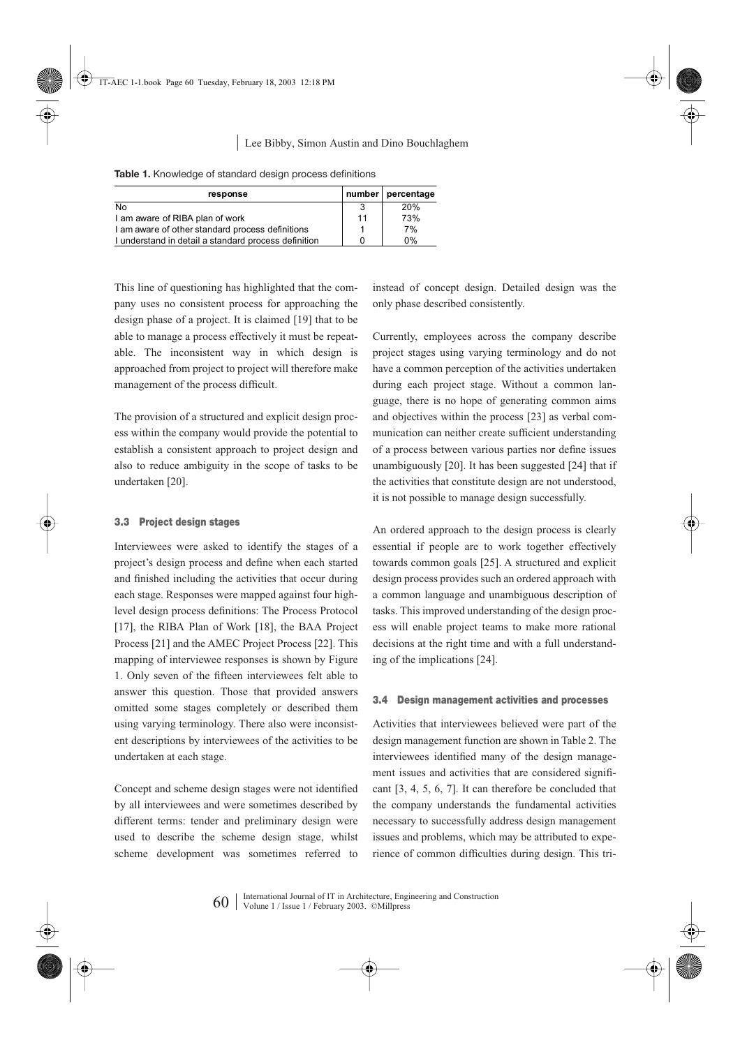| response                                             |    | number   percentage |
|------------------------------------------------------|----|---------------------|
| No                                                   |    | 20%                 |
| I am aware of RIBA plan of work                      | 11 | 73%                 |
| I am aware of other standard process definitions     |    | 7%                  |
| I understand in detail a standard process definition |    | 0%                  |

**Table 1.** Knowledge of standard design process definitions

This line of questioning has highlighted that the company uses no consistent process for approaching the design phase of a project. It is claimed [19] that to be able to manage a process effectively it must be repeatable. The inconsistent way in which design is approached from project to project will therefore make management of the process difficult.

The provision of a structured and explicit design process within the company would provide the potential to establish a consistent approach to project design and also to reduce ambiguity in the scope of tasks to be undertaken [20].

### **3.3 Project design stages**

Interviewees were asked to identify the stages of a project's design process and define when each started and finished including the activities that occur during each stage. Responses were mapped against four highlevel design process definitions: The Process Protocol [17], the RIBA Plan of Work [18], the BAA Project Process [21] and the AMEC Project Process [22]. This mapping of interviewee responses is shown by Figure 1. Only seven of the fifteen interviewees felt able to answer this question. Those that provided answers omitted some stages completely or described them using varying terminology. There also were inconsistent descriptions by interviewees of the activities to be undertaken at each stage.

Concept and scheme design stages were not identified by all interviewees and were sometimes described by different terms: tender and preliminary design were used to describe the scheme design stage, whilst scheme development was sometimes referred to instead of concept design. Detailed design was the only phase described consistently.

Currently, employees across the company describe project stages using varying terminology and do not have a common perception of the activities undertaken during each project stage. Without a common language, there is no hope of generating common aims and objectives within the process [23] as verbal communication can neither create sufficient understanding of a process between various parties nor define issues unambiguously [20]. It has been suggested [24] that if the activities that constitute design are not understood, it is not possible to manage design successfully.

An ordered approach to the design process is clearly essential if people are to work together effectively towards common goals [25]. A structured and explicit design process provides such an ordered approach with a common language and unambiguous description of tasks. This improved understanding of the design process will enable project teams to make more rational decisions at the right time and with a full understanding of the implications [24].

### **3.4 Design management activities and processes**

Activities that interviewees believed were part of the design management function are shown in Table 2. The interviewees identified many of the design management issues and activities that are considered significant [3, 4, 5, 6, 7]. It can therefore be concluded that the company understands the fundamental activities necessary to successfully address design management issues and problems, which may be attributed to experience of common difficulties during design. This tri-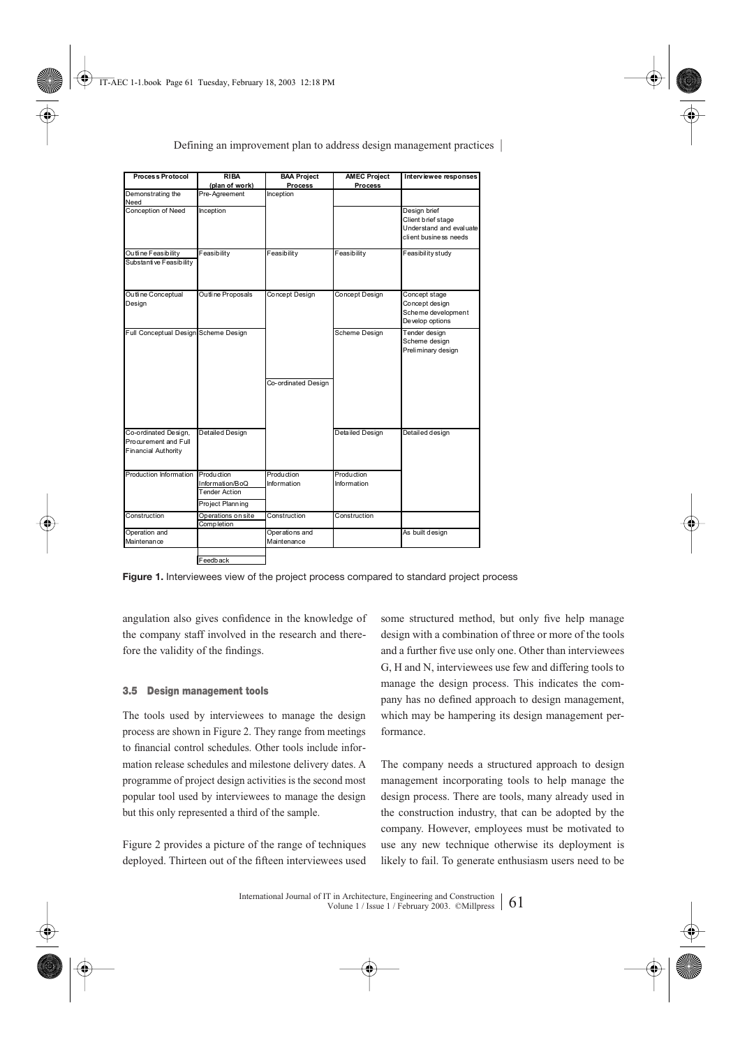| <b>Process Protocol</b>                                                    | <b>RIBA</b><br>(plan of work)                        | <b>BAA Project</b><br><b>Process</b> | <b>AMEC Project</b><br><b>Process</b> | Interviewee responses                                                                  |
|----------------------------------------------------------------------------|------------------------------------------------------|--------------------------------------|---------------------------------------|----------------------------------------------------------------------------------------|
| Demonstrating the<br>Need                                                  | Pre-Agreement                                        | Inception                            |                                       |                                                                                        |
| Conception of Need                                                         | Inception                                            |                                      |                                       | Design brief<br>Client brief stage<br>Understand and evaluate<br>client business needs |
| Outline Feasibility                                                        | Feasibility                                          | Feasibility                          | Feasibility                           | Feasibility study                                                                      |
| Substantive Feasibility                                                    |                                                      |                                      |                                       |                                                                                        |
| Ou tline Conceptual<br>Design                                              | Outline Proposals                                    | Concept Design                       | <b>Concept Design</b>                 | Concept stage<br>Concept design<br>Scheme development<br>Develop options               |
| Full Conceptual Design Scheme Design                                       |                                                      | Co-ordinated Design                  | Scheme Design                         | Tender design<br>Scheme design<br>Preliminary design                                   |
|                                                                            |                                                      |                                      |                                       |                                                                                        |
| Co-ordinated Design,<br>Procurement and Full<br><b>Financial Authority</b> | Detailed Design                                      |                                      | Detailed Design                       | Detailed design                                                                        |
| Production Information Production                                          | Information/BoQ<br>Tender Action<br>Project Planning | Production<br>Information            | Production<br>Information             |                                                                                        |
| Construction                                                               | Operations on site<br><b>Completion</b>              | Construction                         | Construction                          |                                                                                        |
| Operation and                                                              |                                                      | Operations and                       |                                       | As built design                                                                        |
| Maintenance                                                                |                                                      | Maintenance                          |                                       |                                                                                        |
|                                                                            | Feedback                                             |                                      |                                       |                                                                                        |

**Figure 1.** Interviewees view of the project process compared to standard project process

angulation also gives confidence in the knowledge of the company staff involved in the research and therefore the validity of the findings.

### **3.5 Design management tools**

The tools used by interviewees to manage the design process are shown in Figure 2. They range from meetings to financial control schedules. Other tools include information release schedules and milestone delivery dates. A programme of project design activities is the second most popular tool used by interviewees to manage the design but this only represented a third of the sample.

Figure 2 provides a picture of the range of techniques deployed. Thirteen out of the fifteen interviewees used some structured method, but only five help manage design with a combination of three or more of the tools and a further five use only one. Other than interviewees G, H and N, interviewees use few and differing tools to manage the design process. This indicates the company has no defined approach to design management, which may be hampering its design management performance.

The company needs a structured approach to design management incorporating tools to help manage the design process. There are tools, many already used in the construction industry, that can be adopted by the company. However, employees must be motivated to use any new technique otherwise its deployment is likely to fail. To generate enthusiasm users need to be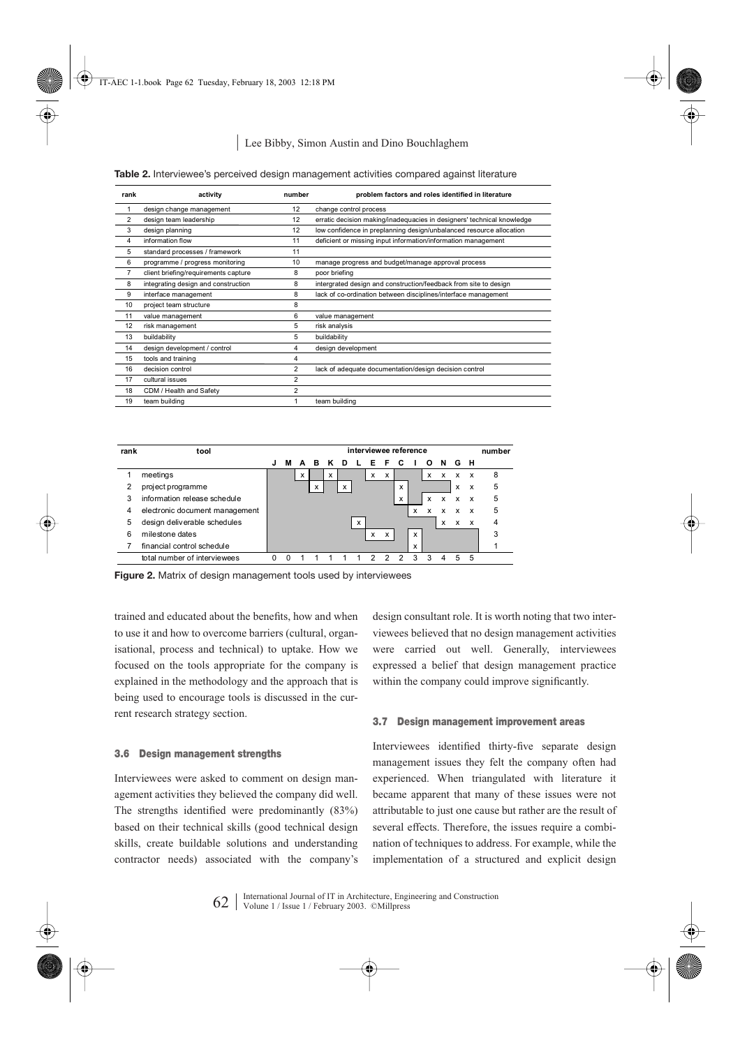|  |  |  |  | Table 2. Interviewee's perceived design management activities compared against literature |  |  |  |  |
|--|--|--|--|-------------------------------------------------------------------------------------------|--|--|--|--|
|--|--|--|--|-------------------------------------------------------------------------------------------|--|--|--|--|

| rank           | activity                             | number         | problem factors and roles identified in literature                     |
|----------------|--------------------------------------|----------------|------------------------------------------------------------------------|
|                | design change management             | 12             | change control process                                                 |
| $\overline{2}$ | design team leadership               | 12             | erratic decision making/inadequacies in designers' technical knowledge |
| 3              | design planning                      | 12             | low confidence in preplanning design/unbalanced resource allocation    |
| 4              | information flow                     | 11             | deficient or missing input information/information management          |
| 5              | standard processes / framework       | 11             |                                                                        |
| 6              | programme / progress monitoring      | 10             | manage progress and budget/manage approval process                     |
|                | client briefing/requirements capture | 8              | poor briefing                                                          |
| 8              | integrating design and construction  | 8              | intergrated design and construction/feedback from site to design       |
| 9              | interface management                 | 8              | lack of co-ordination between disciplines/interface management         |
| 10             | project team structure               | 8              |                                                                        |
| 11             | value management                     | 6              | value management                                                       |
| 12             | risk management                      | 5              | risk analysis                                                          |
| 13             | buildability                         | 5              | buildability                                                           |
| 14             | design development / control         | 4              | design development                                                     |
| 15             | tools and training                   | 4              |                                                                        |
| 16             | decision control                     | $\overline{2}$ | lack of adequate documentation/design decision control                 |
| 17             | cultural issues                      | $\overline{a}$ |                                                                        |
| 18             | CDM / Health and Safety              | $\overline{2}$ |                                                                        |
| 19             | team building                        |                | team building                                                          |



**Figure 2.** Matrix of design management tools used by interviewees

trained and educated about the benefits, how and when to use it and how to overcome barriers (cultural, organisational, process and technical) to uptake. How we focused on the tools appropriate for the company is explained in the methodology and the approach that is being used to encourage tools is discussed in the current research strategy section.

#### **3.6 Design management strengths**

Interviewees were asked to comment on design management activities they believed the company did well. The strengths identified were predominantly (83%) based on their technical skills (good technical design skills, create buildable solutions and understanding contractor needs) associated with the company's design consultant role. It is worth noting that two interviewees believed that no design management activities were carried out well. Generally, interviewees expressed a belief that design management practice within the company could improve significantly.

#### **3.7 Design management improvement areas**

Interviewees identified thirty-five separate design management issues they felt the company often had experienced. When triangulated with literature it became apparent that many of these issues were not attributable to just one cause but rather are the result of several effects. Therefore, the issues require a combination of techniques to address. For example, while the implementation of a structured and explicit design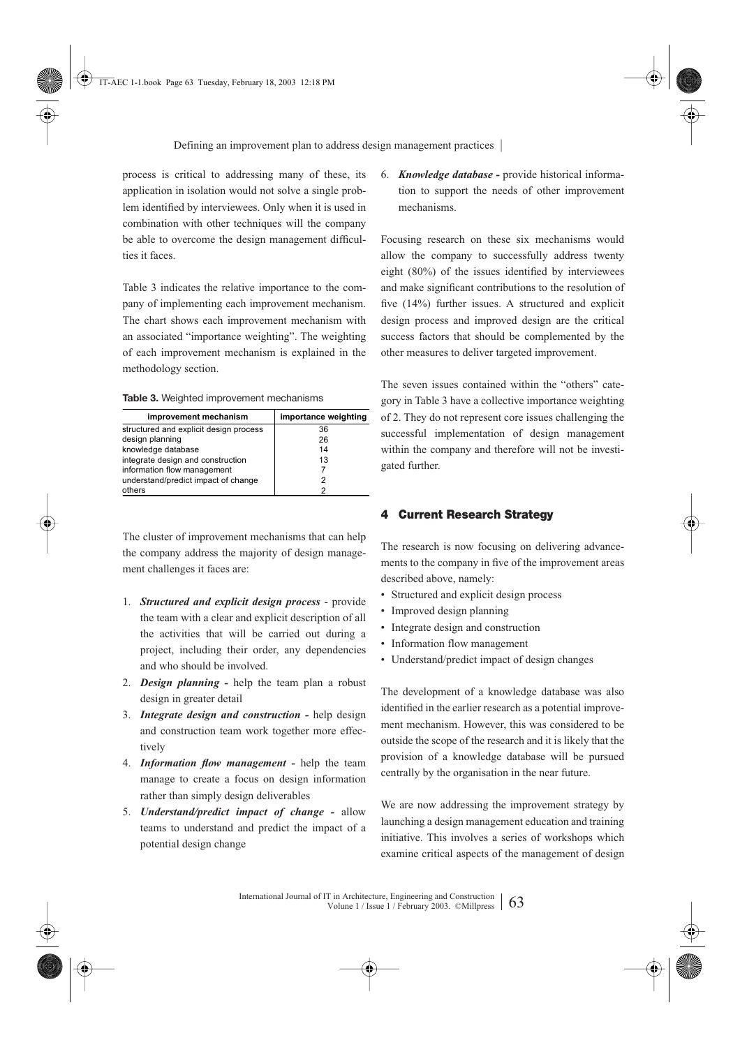process is critical to addressing many of these, its application in isolation would not solve a single problem identified by interviewees. Only when it is used in combination with other techniques will the company be able to overcome the design management difficulties it faces.

Table 3 indicates the relative importance to the company of implementing each improvement mechanism. The chart shows each improvement mechanism with an associated "importance weighting". The weighting of each improvement mechanism is explained in the methodology section.

**Table 3.** Weighted improvement mechanisms

| improvement mechanism                  | importance weighting |
|----------------------------------------|----------------------|
| structured and explicit design process | 36                   |
| design planning                        | 26                   |
| knowledge database                     | 14                   |
| integrate design and construction      | 13                   |
| information flow management            |                      |
| understand/predict impact of change    |                      |
| others                                 |                      |

The cluster of improvement mechanisms that can help the company address the majority of design management challenges it faces are:

- 1. *Structured and explicit design process* provide the team with a clear and explicit description of all the activities that will be carried out during a project, including their order, any dependencies and who should be involved.
- 2. *Design planning* help the team plan a robust design in greater detail
- 3. *Integrate design and construction* help design and construction team work together more effectively
- 4. *Information flow management -* help the team manage to create a focus on design information rather than simply design deliverables
- 5. *Understand/predict impact of change* allow teams to understand and predict the impact of a potential design change

6. *Knowledge database -* provide historical information to support the needs of other improvement mechanisms.

Focusing research on these six mechanisms would allow the company to successfully address twenty eight (80%) of the issues identified by interviewees and make significant contributions to the resolution of five (14%) further issues. A structured and explicit design process and improved design are the critical success factors that should be complemented by the other measures to deliver targeted improvement.

The seven issues contained within the "others" category in Table 3 have a collective importance weighting of 2. They do not represent core issues challenging the successful implementation of design management within the company and therefore will not be investigated further.

### **4 Current Research Strategy**

The research is now focusing on delivering advancements to the company in five of the improvement areas described above, namely:

- Structured and explicit design process
- Improved design planning
- Integrate design and construction
- Information flow management
- Understand/predict impact of design changes

The development of a knowledge database was also identified in the earlier research as a potential improvement mechanism. However, this was considered to be outside the scope of the research and it is likely that the provision of a knowledge database will be pursued centrally by the organisation in the near future.

We are now addressing the improvement strategy by launching a design management education and training initiative. This involves a series of workshops which examine critical aspects of the management of design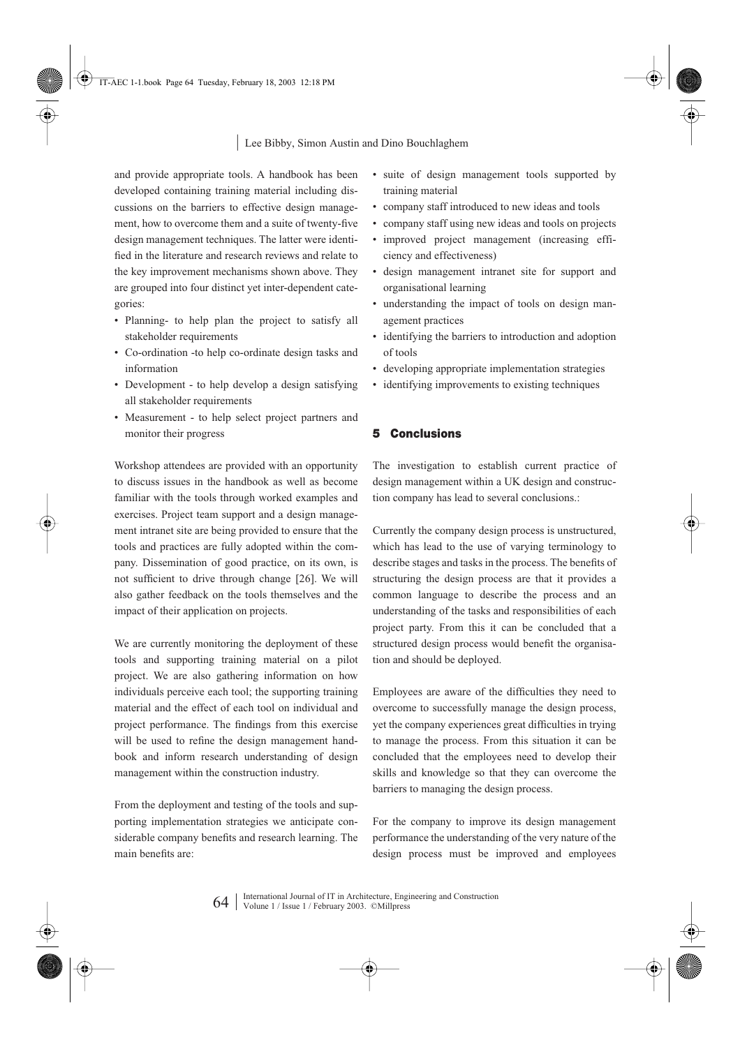and provide appropriate tools. A handbook has been developed containing training material including discussions on the barriers to effective design management, how to overcome them and a suite of twenty-five design management techniques. The latter were identified in the literature and research reviews and relate to the key improvement mechanisms shown above. They are grouped into four distinct yet inter-dependent categories:

- Planning- to help plan the project to satisfy all stakeholder requirements
- Co-ordination -to help co-ordinate design tasks and information
- Development to help develop a design satisfying all stakeholder requirements
- Measurement to help select project partners and monitor their progress

Workshop attendees are provided with an opportunity to discuss issues in the handbook as well as become familiar with the tools through worked examples and exercises. Project team support and a design management intranet site are being provided to ensure that the tools and practices are fully adopted within the company. Dissemination of good practice, on its own, is not sufficient to drive through change [26]. We will also gather feedback on the tools themselves and the impact of their application on projects.

We are currently monitoring the deployment of these tools and supporting training material on a pilot project. We are also gathering information on how individuals perceive each tool; the supporting training material and the effect of each tool on individual and project performance. The findings from this exercise will be used to refine the design management handbook and inform research understanding of design management within the construction industry.

From the deployment and testing of the tools and supporting implementation strategies we anticipate considerable company benefits and research learning. The main benefits are:

- suite of design management tools supported by training material
- company staff introduced to new ideas and tools
- company staff using new ideas and tools on projects
- improved project management (increasing efficiency and effectiveness)
- design management intranet site for support and organisational learning
- understanding the impact of tools on design management practices
- identifying the barriers to introduction and adoption of tools
- developing appropriate implementation strategies
- identifying improvements to existing techniques

# **5 Conclusions**

The investigation to establish current practice of design management within a UK design and construction company has lead to several conclusions.:

Currently the company design process is unstructured, which has lead to the use of varying terminology to describe stages and tasks in the process. The benefits of structuring the design process are that it provides a common language to describe the process and an understanding of the tasks and responsibilities of each project party. From this it can be concluded that a structured design process would benefit the organisation and should be deployed.

Employees are aware of the difficulties they need to overcome to successfully manage the design process, yet the company experiences great difficulties in trying to manage the process. From this situation it can be concluded that the employees need to develop their skills and knowledge so that they can overcome the barriers to managing the design process.

For the company to improve its design management performance the understanding of the very nature of the design process must be improved and employees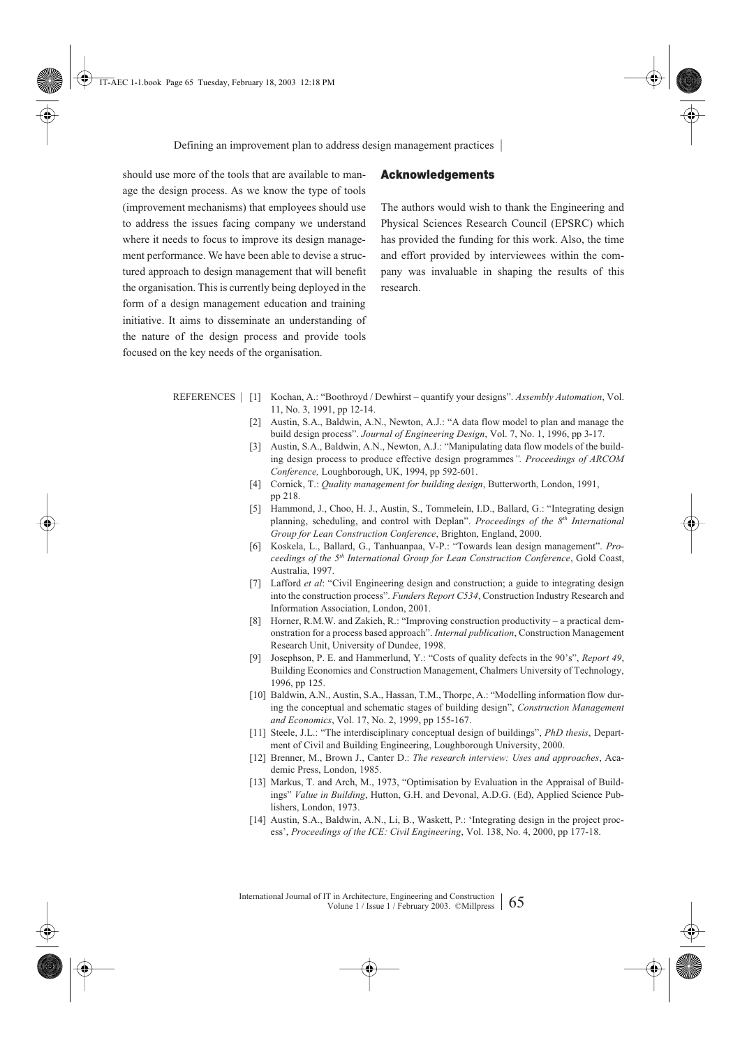should use more of the tools that are available to manage the design process. As we know the type of tools (improvement mechanisms) that employees should use to address the issues facing company we understand where it needs to focus to improve its design management performance. We have been able to devise a structured approach to design management that will benefit the organisation. This is currently being deployed in the form of a design management education and training initiative. It aims to disseminate an understanding of the nature of the design process and provide tools focused on the key needs of the organisation.

### **Acknowledgements**

The authors would wish to thank the Engineering and Physical Sciences Research Council (EPSRC) which has provided the funding for this work. Also, the time and effort provided by interviewees within the company was invaluable in shaping the results of this research.

- REFERENCES | [1] Kochan, A.: "Boothroyd / Dewhirst quantify your designs". *Assembly Automation*, Vol. 11, No. 3, 1991, pp 12-14.
	- [2] Austin, S.A., Baldwin, A.N., Newton, A.J.: "A data flow model to plan and manage the build design process". *Journal of Engineering Design*, Vol. 7, No. 1, 1996, pp 3-17.
	- [3] Austin, S.A., Baldwin, A.N., Newton, A.J.: "Manipulating data flow models of the building design process to produce effective design programmes*". Proceedings of ARCOM Conference,* Loughborough, UK, 1994, pp 592-601.
	- [4] Cornick, T.: *Quality management for building design*, Butterworth, London, 1991, pp 218.
	- [5] Hammond, J., Choo, H. J., Austin, S., Tommelein, I.D., Ballard, G.: "Integrating design planning, scheduling, and control with Deplan". *Proceedings of the 8<sup>th</sup> International Group for Lean Construction Conference*, Brighton, England, 2000.
	- [6] Koskela, L., Ballard, G., Tanhuanpaa, V-P.: "Towards lean design management". *Proceedings of the 5th International Group for Lean Construction Conference*, Gold Coast, Australia, 1997.
	- [7] Lafford *et al*: "Civil Engineering design and construction; a guide to integrating design into the construction process". *Funders Report C534*, Construction Industry Research and Information Association, London, 2001.
	- [8] Horner, R.M.W. and Zakieh, R.: "Improving construction productivity a practical demonstration for a process based approach". *Internal publication*, Construction Management Research Unit, University of Dundee, 1998.
	- [9] Josephson, P. E. and Hammerlund, Y.: "Costs of quality defects in the 90's", *Report 49*, Building Economics and Construction Management, Chalmers University of Technology, 1996, pp 125.
	- [10] Baldwin, A.N., Austin, S.A., Hassan, T.M., Thorpe, A.: "Modelling information flow during the conceptual and schematic stages of building design", *Construction Management and Economics*, Vol. 17, No. 2, 1999, pp 155-167.
	- [11] Steele, J.L.: "The interdisciplinary conceptual design of buildings", *PhD thesis*, Department of Civil and Building Engineering, Loughborough University, 2000.
	- [12] Brenner, M., Brown J., Canter D.: *The research interview: Uses and approaches*, Academic Press, London, 1985.
	- [13] Markus, T. and Arch, M., 1973, "Optimisation by Evaluation in the Appraisal of Buildings" *Value in Building*, Hutton, G.H. and Devonal, A.D.G. (Ed), Applied Science Publishers, London, 1973.
	- [14] Austin, S.A., Baldwin, A.N., Li, B., Waskett, P.: 'Integrating design in the project process', *Proceedings of the ICE: Civil Engineering*, Vol. 138, No. 4, 2000, pp 177-18.